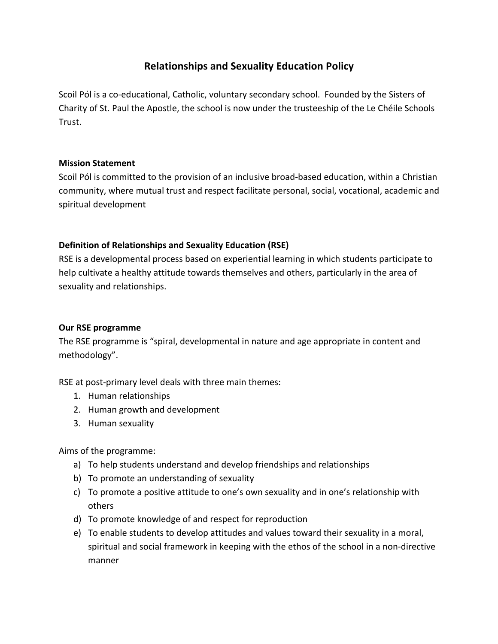# **Relationships and Sexuality Education Policy**

Scoil Pól is a co-educational, Catholic, voluntary secondary school. Founded by the Sisters of Charity of St. Paul the Apostle, the school is now under the trusteeship of the Le Chéile Schools Trust.

### **Mission Statement**

Scoil Pól is committed to the provision of an inclusive broad-based education, within a Christian community, where mutual trust and respect facilitate personal, social, vocational, academic and spiritual development

# **Definition of Relationships and Sexuality Education (RSE)**

RSE is a developmental process based on experiential learning in which students participate to help cultivate a healthy attitude towards themselves and others, particularly in the area of sexuality and relationships.

# **Our RSE programme**

The RSE programme is "spiral, developmental in nature and age appropriate in content and methodology".

RSE at post-primary level deals with three main themes:

- 1. Human relationships
- 2. Human growth and development
- 3. Human sexuality

Aims of the programme:

- a) To help students understand and develop friendships and relationships
- b) To promote an understanding of sexuality
- c) To promote a positive attitude to one's own sexuality and in one's relationship with others
- d) To promote knowledge of and respect for reproduction
- e) To enable students to develop attitudes and values toward their sexuality in a moral, spiritual and social framework in keeping with the ethos of the school in a non-directive manner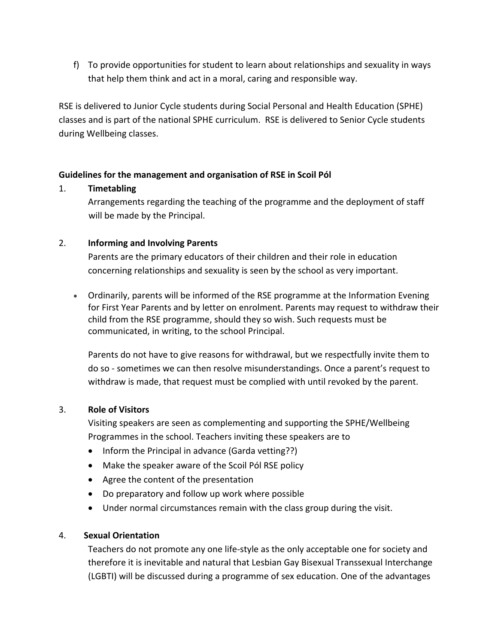f) To provide opportunities for student to learn about relationships and sexuality in ways that help them think and act in a moral, caring and responsible way.

RSE is delivered to Junior Cycle students during Social Personal and Health Education (SPHE) classes and is part of the national SPHE curriculum. RSE is delivered to Senior Cycle students during Wellbeing classes.

### **Guidelines for the management and organisation of RSE in Scoil Pól**

### 1. **Timetabling**

Arrangements regarding the teaching of the programme and the deployment of staff will be made by the Principal.

### 2. **Informing and Involving Parents**

Parents are the primary educators of their children and their role in education concerning relationships and sexuality is seen by the school as very important.

• Ordinarily, parents will be informed of the RSE programme at the Information Evening for First Year Parents and by letter on enrolment. Parents may request to withdraw their child from the RSE programme, should they so wish. Such requests must be communicated, in writing, to the school Principal.

Parents do not have to give reasons for withdrawal, but we respectfully invite them to do so - sometimes we can then resolve misunderstandings. Once a parent's request to withdraw is made, that request must be complied with until revoked by the parent.

# 3. **Role of Visitors**

Visiting speakers are seen as complementing and supporting the SPHE/Wellbeing Programmes in the school. Teachers inviting these speakers are to

- Inform the Principal in advance (Garda vetting??)
- Make the speaker aware of the Scoil Pól RSE policy
- Agree the content of the presentation
- Do preparatory and follow up work where possible
- Under normal circumstances remain with the class group during the visit.

# 4. **Sexual Orientation**

Teachers do not promote any one life-style as the only acceptable one for society and therefore it is inevitable and natural that Lesbian Gay Bisexual Transsexual Interchange (LGBTI) will be discussed during a programme of sex education. One of the advantages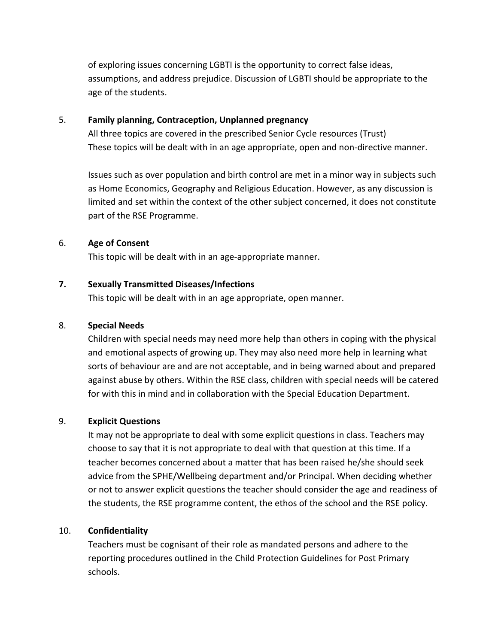of exploring issues concerning LGBTI is the opportunity to correct false ideas, assumptions, and address prejudice. Discussion of LGBTI should be appropriate to the age of the students.

#### 5. **Family planning, Contraception, Unplanned pregnancy**

All three topics are covered in the prescribed Senior Cycle resources (Trust) These topics will be dealt with in an age appropriate, open and non-directive manner.

Issues such as over population and birth control are met in a minor way in subjects such as Home Economics, Geography and Religious Education. However, as any discussion is limited and set within the context of the other subject concerned, it does not constitute part of the RSE Programme.

# 6. **Age of Consent**

This topic will be dealt with in an age-appropriate manner.

# **7. Sexually Transmitted Diseases/Infections**

This topic will be dealt with in an age appropriate, open manner.

#### 8. **Special Needs**

Children with special needs may need more help than others in coping with the physical and emotional aspects of growing up. They may also need more help in learning what sorts of behaviour are and are not acceptable, and in being warned about and prepared against abuse by others. Within the RSE class, children with special needs will be catered for with this in mind and in collaboration with the Special Education Department.

# 9. **Explicit Questions**

It may not be appropriate to deal with some explicit questions in class. Teachers may choose to say that it is not appropriate to deal with that question at this time. If a teacher becomes concerned about a matter that has been raised he/she should seek advice from the SPHE/Wellbeing department and/or Principal. When deciding whether or not to answer explicit questions the teacher should consider the age and readiness of the students, the RSE programme content, the ethos of the school and the RSE policy.

#### 10. **Confidentiality**

Teachers must be cognisant of their role as mandated persons and adhere to the reporting procedures outlined in the Child Protection Guidelines for Post Primary schools.